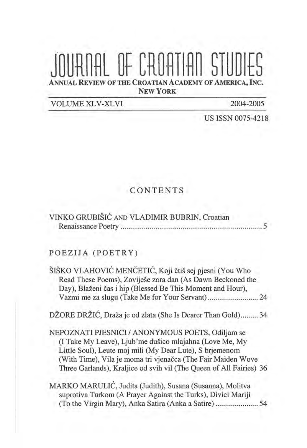## OF CROATIAN STIL L REVIEW OF THE CROATIAN ACADEMY OF AMERICA, INC.

NEW **YORK** 

VOLUME XLV -XL VI 2004-2005

US ISSN 0075-4218

## CONTENTS

| VINKO GRUBIŠIĆ AND VLADIMIR BUBRIN, Croatian |  |
|----------------------------------------------|--|
|                                              |  |

## POEZIJA (POETRY)

ŠIŠKO VLAHOVIĆ MENČETIĆ, Koji čtiš sej pjesni (You Who Read These Poems), Zovijese zora dan (As Dawn Beckoned the Day), Blaženi čas i hip (Blessed Be This Moment and Hour), Vazrni me za slugu (Take Me for Your Servant) .......................... 24

DZORE DRZIC, Draza je od zlata (She Is Dearer Than Gold) ......... 34

NEPOZNATI PJESNICI / ANONYMOUS POETS, Odiljam se (I Take My Leave), Ljub'me dusico mlajahna (Love Me, My Little Soul), Leute moj rnili (My Dear Lute), S brjemenom (With Time), Vila je moma tri vjenačca (The Fair Maiden Wove Three Garlands), Kraljice od svih vil (The Queen of All Fairies) 36

MARKO MARULIC, Judita (Judith), Susana (Susanna), Molitva suprotiva Turkom (A Prayer Against the Turks), Divici Mariji (To the Virgin Mary), Anka Satira (Anka a Satire) ...................... 54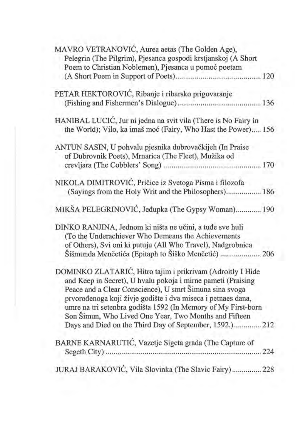|  | MAVRO VETRANOVIĆ, Aurea aetas (The Golden Age),<br>Pelegrin (The Pilgrim), Pjesanca gospodi krstjanskoj (A Short |
|--|------------------------------------------------------------------------------------------------------------------|
|  | Poem to Christian Noblemen), Pjesanca u pomoć poetam                                                             |
|  |                                                                                                                  |
|  | PETAR HEKTOROVIĆ, Ribanje i ribarsko prigovaranje                                                                |
|  |                                                                                                                  |
|  | HANIBAL LUCIĆ, Jur ni jedna na svit vila (There is No Fairy in                                                   |
|  | the World); Vilo, ka imaš moć (Fairy, Who Hast the Power) 156                                                    |
|  | ANTUN SASIN, U pohvalu pjesnika dubrovačkijeh (In Praise                                                         |
|  | of Dubrovnik Poets), Mrnarica (The Fleet), Mužika od                                                             |
|  |                                                                                                                  |
|  | NIKOLA DIMITROVIĆ, Pričice iz Svetoga Pisma i filozofa                                                           |
|  | (Sayings from the Holy Writ and the Philosophers) 186                                                            |
|  | MIKŠA PELEGRINOVIĆ, Jeđupka (The Gypsy Woman) 190                                                                |
|  | DINKO RANJINA, Jednom ki ništa ne učini, a tuđe sve huli                                                         |
|  | (To the Underachiever Who Demeans the Achievements                                                               |
|  | of Others), Svi oni ki putuju (All Who Travel), Nadgrobnica                                                      |
|  | Šišmunda Menčetića (Epitaph to Šiško Menčetić)  206                                                              |
|  | DOMINKO ZLATARIĆ, Hitro tajim i prikrivam (Adroitly I Hide                                                       |
|  | and Keep in Secret), U hvalu pokoja i mirne pameti (Praising                                                     |
|  | Peace and a Clear Conscience), U smrt Šimuna sina svoga                                                          |
|  | prvorođenoga koji živje godište i dva miseca i petnaes dana,                                                     |
|  | umre na tri setenbra godišta 1592 (In Memory of My First-born                                                    |
|  | Son Šimun, Who Lived One Year, Two Months and Fifteen                                                            |
|  | Days and Died on the Third Day of September, 1592.) 212                                                          |
|  | BARNE KARNARUTIĆ, Vazetje Sigeta grada (The Capture of                                                           |
|  |                                                                                                                  |
|  | JURAJ BARAKOVIĆ, Vila Slovinka (The Slavic Fairy) 228                                                            |